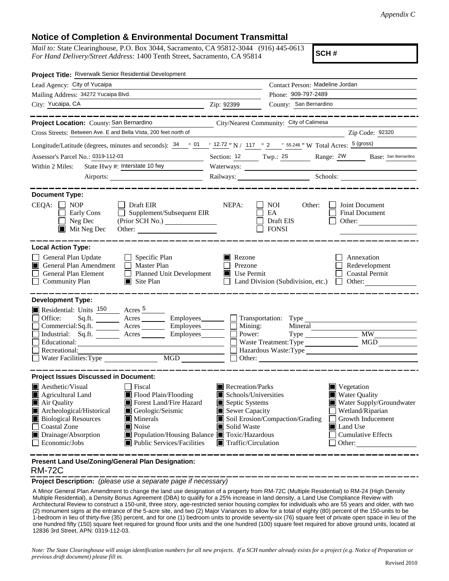## **Notice of Completion & Environmental Document Transmittal**

*Mail to:* State Clearinghouse, P.O. Box 3044, Sacramento, CA 95812-3044 (916) 445-0613 *For Hand Delivery/Street Address:* 1400 Tenth Street, Sacramento, CA 95814

**SCH #**

| Project Title: Riverwalk Senior Residential Development                                                                                                                                                                                                                                                                                                                                                                                                                                          |                                                                                                                                   |                                                   |                                                                                                                                                                                   |  |
|--------------------------------------------------------------------------------------------------------------------------------------------------------------------------------------------------------------------------------------------------------------------------------------------------------------------------------------------------------------------------------------------------------------------------------------------------------------------------------------------------|-----------------------------------------------------------------------------------------------------------------------------------|---------------------------------------------------|-----------------------------------------------------------------------------------------------------------------------------------------------------------------------------------|--|
| Lead Agency: City of Yucaipa                                                                                                                                                                                                                                                                                                                                                                                                                                                                     |                                                                                                                                   | Contact Person: Madeline Jordan                   |                                                                                                                                                                                   |  |
| Mailing Address: 34272 Yucaipa Blvd.                                                                                                                                                                                                                                                                                                                                                                                                                                                             | Phone: 909-797-2489                                                                                                               |                                                   |                                                                                                                                                                                   |  |
| City: Yucaipa, CA<br><u> 1989 - Johann Barbara, martin amerikan ba</u>                                                                                                                                                                                                                                                                                                                                                                                                                           | Zip: 92399                                                                                                                        | County: San Bernardino                            |                                                                                                                                                                                   |  |
|                                                                                                                                                                                                                                                                                                                                                                                                                                                                                                  |                                                                                                                                   |                                                   |                                                                                                                                                                                   |  |
| Project Location: County: San Bernardino                                                                                                                                                                                                                                                                                                                                                                                                                                                         |                                                                                                                                   | City/Nearest Community: City of Calimesa          |                                                                                                                                                                                   |  |
| Cross Streets: Between Ave. E and Bella Vista, 200 feet north of                                                                                                                                                                                                                                                                                                                                                                                                                                 |                                                                                                                                   |                                                   | Zip Code: 92320                                                                                                                                                                   |  |
| Longitude/Latitude (degrees, minutes and seconds): $\frac{34}{9}$ $\frac{01}{1}$ $\frac{12.72}{1}$ N / 117 $\frac{0}{2}$ $\frac{2}{5}$ $\frac{5.248}{1}$ W Total Acres: $\frac{5 \text{ (gross)}}{2}$                                                                                                                                                                                                                                                                                            |                                                                                                                                   |                                                   |                                                                                                                                                                                   |  |
| Assessor's Parcel No.: 0319-112-03                                                                                                                                                                                                                                                                                                                                                                                                                                                               | Section: 12 Twp.: 2S                                                                                                              |                                                   | Range: 2W Base: San Bernardino                                                                                                                                                    |  |
| State Hwy #: Interstate 10 fwy<br>Within 2 Miles:                                                                                                                                                                                                                                                                                                                                                                                                                                                | Waterways:                                                                                                                        |                                                   |                                                                                                                                                                                   |  |
|                                                                                                                                                                                                                                                                                                                                                                                                                                                                                                  |                                                                                                                                   |                                                   | Railways: Schools: Schools:                                                                                                                                                       |  |
| <b>Document Type:</b><br>$CEQA: \Box$<br><b>NOP</b><br>Draft EIR<br>Early Cons<br>Supplement/Subsequent EIR<br>$\Box$ Neg Dec<br>(Prior SCH No.)<br>$\blacksquare$ Mit Neg Dec                                                                                                                                                                                                                                                                                                                   | NEPA:                                                                                                                             | NOI.<br>Other:<br>EA<br>Draft EIS<br><b>FONSI</b> | Joint Document<br>Final Document<br>Other:                                                                                                                                        |  |
| <b>Local Action Type:</b>                                                                                                                                                                                                                                                                                                                                                                                                                                                                        |                                                                                                                                   |                                                   |                                                                                                                                                                                   |  |
| General Plan Update<br>$\Box$ Specific Plan<br>General Plan Amendment<br>$\Box$ Master Plan<br>I I<br>General Plan Element<br>Planned Unit Development<br><b>Community Plan</b><br>$\Box$ Site Plan                                                                                                                                                                                                                                                                                              | Rezone<br>Prezone<br><b>Use Permit</b>                                                                                            | Land Division (Subdivision, etc.)                 | Annexation<br>Redevelopment<br><b>Coastal Permit</b><br>Other: $\qquad \qquad$<br>$\mathbf{L}$                                                                                    |  |
| <b>Development Type:</b><br>Residential: Units <sup>150</sup> Acres 5<br>Office:<br>$Sq.ft.$ Acres $\qquad \qquad$ Employees $\qquad \qquad$ Transportation: Type<br>$Commercial:Sq.fit.$ $\qquad \qquad \text{Acres}$ $\qquad \qquad \text{Employees}$ $\qquad \qquad \text{Mining:}$<br>Industrial: Sq.ft. _______ Acres ________ Employees________ $\Box$<br>Educational:<br>Recreational:<br>$\begin{tabular}{ c c } \hline \text{MGD} & \text{---} \end{tabular}$<br>Water Facilities: Type | Power:                                                                                                                            | Mineral<br>Waste Treatment: Type<br>Other:        | <b>MW</b><br><b>MGD</b>                                                                                                                                                           |  |
| <b>Project Issues Discussed in Document:</b>                                                                                                                                                                                                                                                                                                                                                                                                                                                     |                                                                                                                                   |                                                   |                                                                                                                                                                                   |  |
| <b>A</b> esthetic/Visual<br>  Fiscal<br>Flood Plain/Flooding<br><b>Agricultural Land</b><br>Air Quality<br>Forest Land/Fire Hazard<br>Archeological/Historical<br>Geologic/Seismic<br><b>Biological Resources</b><br>Minerals<br><b>Coastal Zone</b><br>Noise<br>Drainage/Absorption<br>Population/Housing Balance Toxic/Hazardous<br>Public Services/Facilities<br>Economic/Jobs                                                                                                                | Recreation/Parks<br>Schools/Universities<br>Septic Systems<br>Sewer Capacity<br>Solid Waste<br>$\blacksquare$ Traffic/Circulation | Soil Erosion/Compaction/Grading                   | $\blacksquare$ Vegetation<br>Water Quality<br>Water Supply/Groundwater<br>Wetland/Riparian<br>Growth Inducement<br>$\blacksquare$ Land Use<br><b>Cumulative Effects</b><br>Other: |  |

**Present Land Use/Zoning/General Plan Designation:**

## RM-72C

**Project Description:** *(please use a separate page if necessary)*

 A Minor General Plan Amendment to change the land use designation of a property from RM-72C (Multiple Residential) to RM-24 (High Density Multiple Residential), a Density Bonus Agreement (DBA) to qualify for a 25% increase in land density, a Land Use Compliance Review with Architectural Review to construct a 150-unit, three story, age-restricted senior housing complex for individuals who are 55 years and older, with two (2) monument signs at the entrance of the 5-acre site, and two (2) Major Variances to allow for a total of eighty (80) percent of the 150-units to be 1-bedroom in lieu of thirty-five (35) percent, and for one (1) bedroom units to provide seventy-six (76) square feet of private open space in lieu of the one hundred fifty (150) square feet required for ground floor units and the one hundred (100) square feet required for above ground units, located at 12836 3rd Street, APN: 0319-112-03.

*Note: The State Clearinghouse will assign identification numbers for all new projects. If a SCH number already exists for a project (e.g. Notice of Preparation or previous draft document) please fill in.*